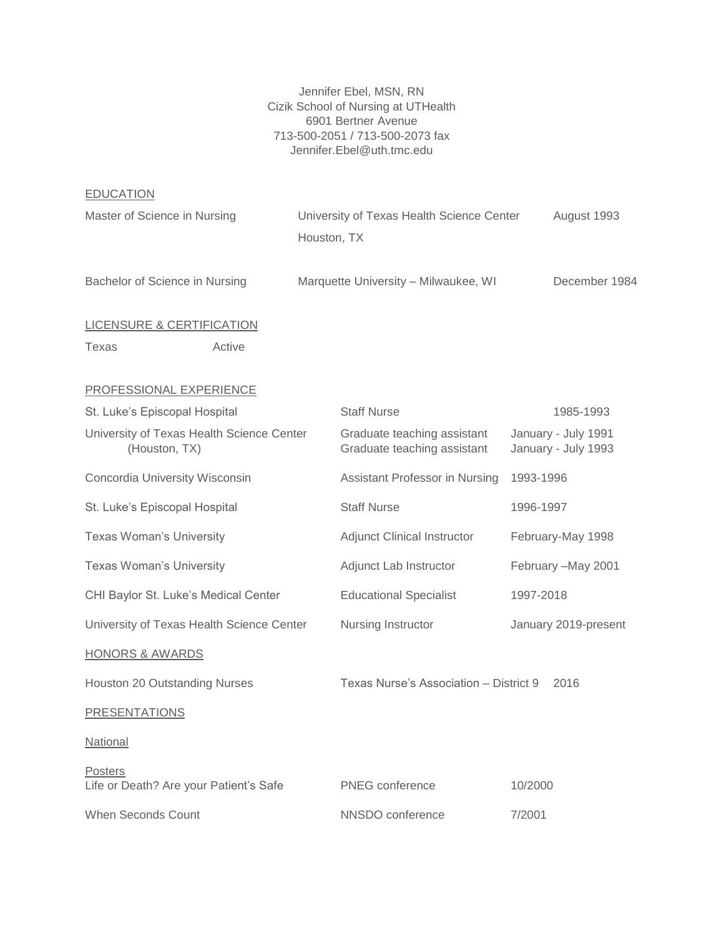Jennifer Ebel, MSN, RN Cizik School of Nursing at UTHealth 6901 Bertner Avenue 713-500-2051 / 713-500-2073 fax Jennifer.Ebel@uth.tmc.edu

EDUCATION

| <u>----------</u>                                          |  |                                                            |                                            |                     |
|------------------------------------------------------------|--|------------------------------------------------------------|--------------------------------------------|---------------------|
| Master of Science in Nursing                               |  | University of Texas Health Science Center<br>Houston, TX   |                                            | August 1993         |
| Bachelor of Science in Nursing                             |  | Marquette University - Milwaukee, WI                       |                                            | December 1984       |
| <b>LICENSURE &amp; CERTIFICATION</b>                       |  |                                                            |                                            |                     |
| Active<br>Texas                                            |  |                                                            |                                            |                     |
| PROFESSIONAL EXPERIENCE                                    |  |                                                            |                                            |                     |
| St. Luke's Episcopal Hospital                              |  | <b>Staff Nurse</b>                                         |                                            | 1985-1993           |
| University of Texas Health Science Center<br>(Houston, TX) |  | Graduate teaching assistant<br>Graduate teaching assistant | January - July 1991<br>January - July 1993 |                     |
| Concordia University Wisconsin                             |  | Assistant Professor in Nursing                             | 1993-1996                                  |                     |
| St. Luke's Episcopal Hospital                              |  | <b>Staff Nurse</b>                                         | 1996-1997                                  |                     |
| <b>Texas Woman's University</b>                            |  | <b>Adjunct Clinical Instructor</b>                         |                                            | February-May 1998   |
| Texas Woman's University                                   |  | Adjunct Lab Instructor                                     |                                            | February - May 2001 |
| CHI Baylor St. Luke's Medical Center                       |  | <b>Educational Specialist</b>                              | 1997-2018                                  |                     |
| University of Texas Health Science Center                  |  | Nursing Instructor                                         | January 2019-present                       |                     |
| <b>HONORS &amp; AWARDS</b>                                 |  |                                                            |                                            |                     |
| Houston 20 Outstanding Nurses                              |  | Texas Nurse's Association - District 9<br>2016             |                                            |                     |
| <b>PRESENTATIONS</b>                                       |  |                                                            |                                            |                     |
| National                                                   |  |                                                            |                                            |                     |
| Posters<br>Life or Death? Are your Patient's Safe          |  | <b>PNEG</b> conference                                     | 10/2000                                    |                     |
| When Seconds Count                                         |  | NNSDO conference                                           | 7/2001                                     |                     |